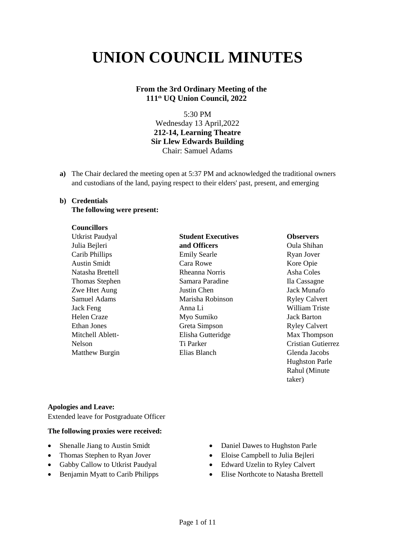# **UNION COUNCIL MINUTES**

# **From the 3rd Ordinary Meeting of the 111th UQ Union Council, 2022**

5:30 PM Wednesday 13 April,2022 **212-14, Learning Theatre Sir Llew Edwards Building** Chair: Samuel Adams

**a)** The Chair declared the meeting open at 5:37 PM and acknowledged the traditional owners and custodians of the land, paying respect to their elders' past, present, and emerging

# **b) Credentials**

# **The following were present:**

## **Councillors**

Utkrist Paudyal Julia Bejleri Carib Phillips Austin Smidt Natasha Brettell Thomas Stephen Zwe Htet Aung Samuel Adams Jack Feng Helen Craze Ethan Jones Mitchell Ablett-Nelson Matthew Burgin

# **Student Executives and Officers** Emily Searle Cara Rowe Rheanna Norris Samara Paradine Justin Chen Marisha Robinson Anna Li Myo Sumiko Greta Simpson Elisha Gutteridge Ti Parker Elias Blanch

## **Observers**

Oula Shihan Ryan Jover Kore Opie Asha Coles Ila Cassagne Jack Munafo Ryley Calvert William Triste Jack Barton Ryley Calvert Max Thompson Cristian Gutierrez Glenda Jacobs Hughston Parle Rahul (Minute taker)

## **Apologies and Leave:**

Extended leave for Postgraduate Officer

## **The following proxies were received:**

- Shenalle Jiang to Austin Smidt
- Thomas Stephen to Ryan Jover
- Gabby Callow to Utkrist Paudyal
- Benjamin Myatt to Carib Philipps
- Daniel Dawes to Hughston Parle
- Eloise Campbell to Julia Bejleri
- Edward Uzelin to Ryley Calvert
- Elise Northcote to Natasha Brettell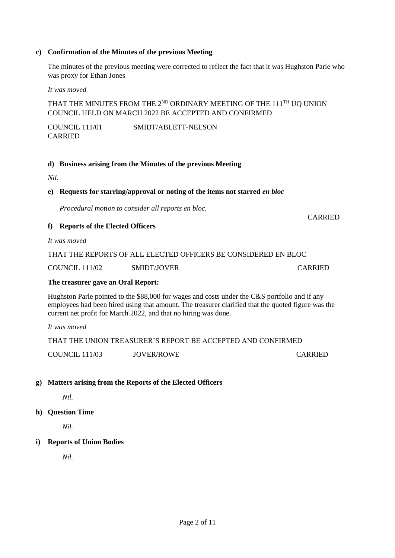## **c) Confirmation of the Minutes of the previous Meeting**

The minutes of the previous meeting were corrected to reflect the fact that it was Hughston Parle who was proxy for Ethan Jones

*It was moved*

THAT THE MINUTES FROM THE 2<sup>ND</sup> ORDINARY MEETING OF THE 111<sup>TH</sup> UQ UNION COUNCIL HELD ON MARCH 2022 BE ACCEPTED AND CONFIRMED

COUNCIL 111/01 SMIDT/ABLETT-NELSON CARRIED

## **d) Business arising from the Minutes of the previous Meeting**

*Nil.*

#### **e) Requests for starring/approval or noting of the items not starred** *en bloc*

*Procedural motion to consider all reports en bloc.* 

#### **f) Reports of the Elected Officers**

*It was moved*

COUNCIL 111/02 SMIDT/JOVER CARRIED

#### **The treasurer gave an Oral Report:**

Hughston Parle pointed to the \$88,000 for wages and costs under the C&S portfolio and if any employees had been hired using that amount. The treasurer clarified that the quoted figure was the current net profit for March 2022, and that no hiring was done.

CARRIED

*It was moved*

| THAT THE UNION TREASURER'S REPORT BE ACCEPTED AND CONFIRMED. |            |         |  |  |
|--------------------------------------------------------------|------------|---------|--|--|
| COUNCIL 111/03                                               | JOVER/ROWE | CARRIED |  |  |

## **g) Matters arising from the Reports of the Elected Officers**

*Nil.*

**h) Question Time**

*Nil.*

## **i) Reports of Union Bodies**

 *Nil.*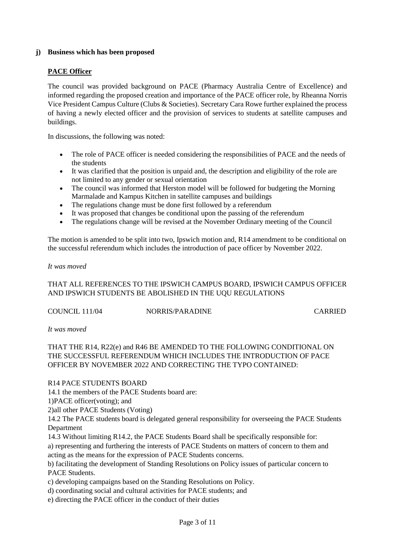# **j) Business which has been proposed**

# **PACE Officer**

The council was provided background on PACE (Pharmacy Australia Centre of Excellence) and informed regarding the proposed creation and importance of the PACE officer role, by Rheanna Norris Vice President Campus Culture (Clubs & Societies). Secretary Cara Rowe further explained the process of having a newly elected officer and the provision of services to students at satellite campuses and buildings.

In discussions, the following was noted:

- The role of PACE officer is needed considering the responsibilities of PACE and the needs of the students
- It was clarified that the position is unpaid and, the description and eligibility of the role are not limited to any gender or sexual orientation
- The council was informed that Herston model will be followed for budgeting the Morning Marmalade and Kampus Kitchen in satellite campuses and buildings
- The regulations change must be done first followed by a referendum
- It was proposed that changes be conditional upon the passing of the referendum
- The regulations change will be revised at the November Ordinary meeting of the Council

The motion is amended to be split into two, Ipswich motion and, R14 amendment to be conditional on the successful referendum which includes the introduction of pace officer by November 2022.

## *It was moved*

# THAT ALL REFERENCES TO THE IPSWICH CAMPUS BOARD, IPSWICH CAMPUS OFFICER AND IPSWICH STUDENTS BE ABOLISHED IN THE UQU REGULATIONS

COUNCIL 111/04 NORRIS/PARADINE CARRIED

*It was moved*

# THAT THE R14, R22(e) and R46 BE AMENDED TO THE FOLLOWING CONDITIONAL ON THE SUCCESSFUL REFERENDUM WHICH INCLUDES THE INTRODUCTION OF PACE OFFICER BY NOVEMBER 2022 AND CORRECTING THE TYPO CONTAINED:

R14 PACE STUDENTS BOARD

14.1 the members of the PACE Students board are:

1)PACE officer(voting); and

2)all other PACE Students (Voting)

14.2 The PACE students board is delegated general responsibility for overseeing the PACE Students Department

14.3 Without limiting R14.2, the PACE Students Board shall be specifically responsible for: a) representing and furthering the interests of PACE Students on matters of concern to them and acting as the means for the expression of PACE Students concerns.

b) facilitating the development of Standing Resolutions on Policy issues of particular concern to PACE Students.

c) developing campaigns based on the Standing Resolutions on Policy.

d) coordinating social and cultural activities for PACE students; and

e) directing the PACE officer in the conduct of their duties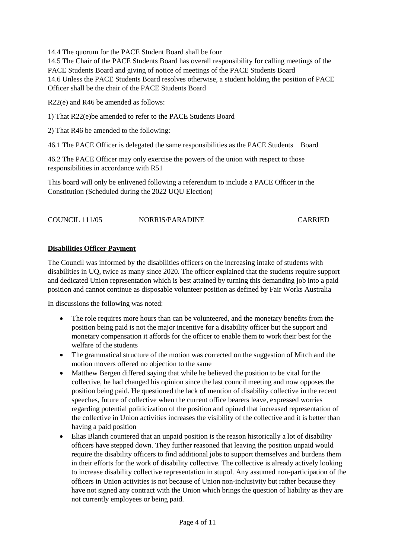14.4 The quorum for the PACE Student Board shall be four

14.5 The Chair of the PACE Students Board has overall responsibility for calling meetings of the PACE Students Board and giving of notice of meetings of the PACE Students Board 14.6 Unless the PACE Students Board resolves otherwise, a student holding the position of PACE Officer shall be the chair of the PACE Students Board

R22(e) and R46 be amended as follows:

1) That R22(e)be amended to refer to the PACE Students Board

2) That R46 be amended to the following:

46.1 The PACE Officer is delegated the same responsibilities as the PACE Students Board

46.2 The PACE Officer may only exercise the powers of the union with respect to those responsibilities in accordance with R51

This board will only be enlivened following a referendum to include a PACE Officer in the Constitution (Scheduled during the 2022 UQU Election)

| COUNCIL 111/05 | NORRIS/PARADINE | <b>CARRIED</b> |
|----------------|-----------------|----------------|
|                |                 |                |

# **Disabilities Officer Payment**

The Council was informed by the disabilities officers on the increasing intake of students with disabilities in UQ, twice as many since 2020. The officer explained that the students require support and dedicated Union representation which is best attained by turning this demanding job into a paid position and cannot continue as disposable volunteer position as defined by Fair Works Australia

In discussions the following was noted:

- The role requires more hours than can be volunteered, and the monetary benefits from the position being paid is not the major incentive for a disability officer but the support and monetary compensation it affords for the officer to enable them to work their best for the welfare of the students
- The grammatical structure of the motion was corrected on the suggestion of Mitch and the motion movers offered no objection to the same
- Matthew Bergen differed saying that while he believed the position to be vital for the collective, he had changed his opinion since the last council meeting and now opposes the position being paid. He questioned the lack of mention of disability collective in the recent speeches, future of collective when the current office bearers leave, expressed worries regarding potential politicization of the position and opined that increased representation of the collective in Union activities increases the visibility of the collective and it is better than having a paid position
- Elias Blanch countered that an unpaid position is the reason historically a lot of disability officers have stepped down. They further reasoned that leaving the position unpaid would require the disability officers to find additional jobs to support themselves and burdens them in their efforts for the work of disability collective. The collective is already actively looking to increase disability collective representation in stupol. Any assumed non-participation of the officers in Union activities is not because of Union non-inclusivity but rather because they have not signed any contract with the Union which brings the question of liability as they are not currently employees or being paid.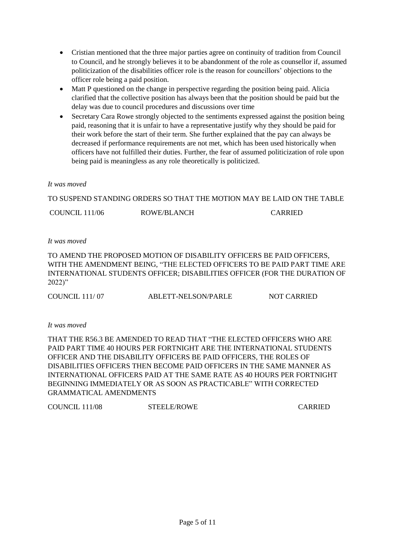- Cristian mentioned that the three major parties agree on continuity of tradition from Council to Council, and he strongly believes it to be abandonment of the role as counsellor if, assumed politicization of the disabilities officer role is the reason for councillors' objections to the officer role being a paid position.
- Matt P questioned on the change in perspective regarding the position being paid. Alicia clarified that the collective position has always been that the position should be paid but the delay was due to council procedures and discussions over time
- Secretary Cara Rowe strongly objected to the sentiments expressed against the position being paid, reasoning that it is unfair to have a representative justify why they should be paid for their work before the start of their term. She further explained that the pay can always be decreased if performance requirements are not met, which has been used historically when officers have not fulfilled their duties. Further, the fear of assumed politicization of role upon being paid is meaningless as any role theoretically is politicized.

# *It was moved*

TO SUSPEND STANDING ORDERS SO THAT THE MOTION MAY BE LAID ON THE TABLE

COUNCIL 111/06 ROWE/BLANCH CARRIED

# *It was moved*

TO AMEND THE PROPOSED MOTION OF DISABILITY OFFICERS BE PAID OFFICERS, WITH THE AMENDMENT BEING, "THE ELECTED OFFICERS TO BE PAID PART TIME ARE INTERNATIONAL STUDENTS OFFICER; DISABILITIES OFFICER (FOR THE DURATION OF 2022)"

COUNCIL 111/ 07 ABLETT-NELSON/PARLE NOT CARRIED

*It was moved*

THAT THE R56.3 BE AMENDED TO READ THAT "THE ELECTED OFFICERS WHO ARE PAID PART TIME 40 HOURS PER FORTNIGHT ARE THE INTERNATIONAL STUDENTS OFFICER AND THE DISABILITY OFFICERS BE PAID OFFICERS, THE ROLES OF DISABILITIES OFFICERS THEN BECOME PAID OFFICERS IN THE SAME MANNER AS INTERNATIONAL OFFICERS PAID AT THE SAME RATE AS 40 HOURS PER FORTNIGHT BEGINNING IMMEDIATELY OR AS SOON AS PRACTICABLE" WITH CORRECTED GRAMMATICAL AMENDMENTS

| COUNCIL 111/08 | <b>STEELE/ROWE</b> | CARRIED |
|----------------|--------------------|---------|
|                |                    |         |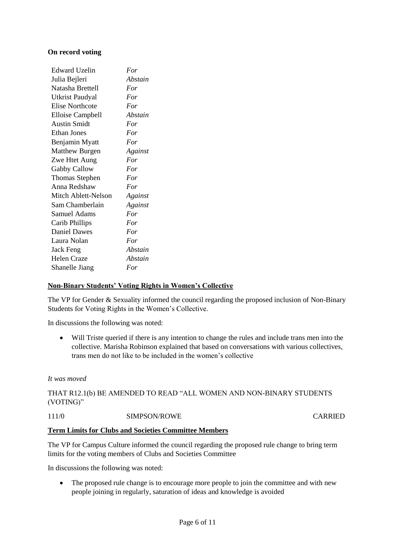# **On record voting**

| For     |
|---------|
| Abstain |
| For     |
| For     |
| For     |
| Abstain |
| For     |
| For     |
| For     |
| Against |
| For     |
| For     |
| For     |
| For     |
| Against |
| Against |
| For     |
| For     |
| For     |
| For     |
| Abstain |
| Abstain |
| For     |
|         |

# **Non-Binary Students' Voting Rights in Women's Collective**

The VP for Gender & Sexuality informed the council regarding the proposed inclusion of Non-Binary Students for Voting Rights in the Women's Collective.

In discussions the following was noted:

• Will Triste queried if there is any intention to change the rules and include trans men into the collective. Marisha Robinson explained that based on conversations with various collectives, trans men do not like to be included in the women's collective

## *It was moved*

THAT R12.1(b) BE AMENDED TO READ "ALL WOMEN AND NON-BINARY STUDENTS (VOTING)"

111/0 SIMPSON/ROWE CARRIED

## **Term Limits for Clubs and Societies Committee Members**

The VP for Campus Culture informed the council regarding the proposed rule change to bring term limits for the voting members of Clubs and Societies Committee

In discussions the following was noted:

• The proposed rule change is to encourage more people to join the committee and with new people joining in regularly, saturation of ideas and knowledge is avoided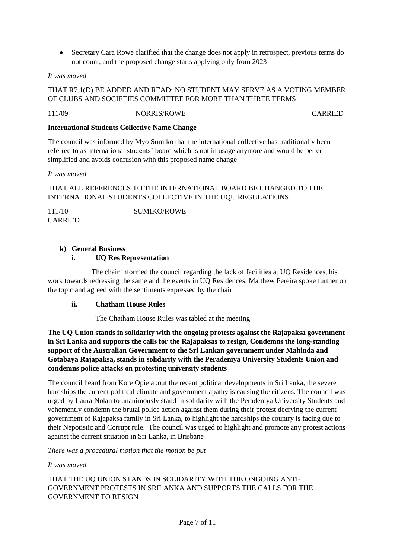• Secretary Cara Rowe clarified that the change does not apply in retrospect, previous terms do not count, and the proposed change starts applying only from 2023

# *It was moved*

# THAT R7.1(D) BE ADDED AND READ: NO STUDENT MAY SERVE AS A VOTING MEMBER OF CLUBS AND SOCIETIES COMMITTEE FOR MORE THAN THREE TERMS

111/09 NORRIS/ROWE CARRIED

## **International Students Collective Name Change**

The council was informed by Myo Sumiko that the international collective has traditionally been referred to as international students' board which is not in usage anymore and would be better simplified and avoids confusion with this proposed name change

## *It was moved*

# THAT ALL REFERENCES TO THE INTERNATIONAL BOARD BE CHANGED TO THE INTERNATIONAL STUDENTS COLLECTIVE IN THE UQU REGULATIONS

111/10 SUMIKO/ROWE CARRIED

# **k) General Business**

# **i. UQ Res Representation**

The chair informed the council regarding the lack of facilities at UQ Residences, his work towards redressing the same and the events in UQ Residences. Matthew Pereira spoke further on the topic and agreed with the sentiments expressed by the chair

## **ii. Chatham House Rules**

The Chatham House Rules was tabled at the meeting

**The UQ Union stands in solidarity with the ongoing protests against the Rajapaksa government in Sri Lanka and supports the calls for the Rajapaksas to resign, Condemns the long-standing support of the Australian Government to the Sri Lankan government under Mahinda and Gotabaya Rajapaksa, stands in solidarity with the Peradeniya University Students Union and condemns police attacks on protesting university students**

The council heard from Kore Opie about the recent political developments in Sri Lanka, the severe hardships the current political climate and government apathy is causing the citizens. The council was urged by Laura Nolan to unanimously stand in solidarity with the Peradeniya University Students and vehemently condemn the brutal police action against them during their protest decrying the current government of Rajapaksa family in Sri Lanka, to highlight the hardships the country is facing due to their Nepotistic and Corrupt rule. The council was urged to highlight and promote any protest actions against the current situation in Sri Lanka, in Brisbane

*There was a procedural motion that the motion be put*

*It was moved*

# THAT THE UQ UNION STANDS IN SOLIDARITY WITH THE ONGOING ANTI-GOVERNMENT PROTESTS IN SRILANKA AND SUPPORTS THE CALLS FOR THE GOVERNMENT TO RESIGN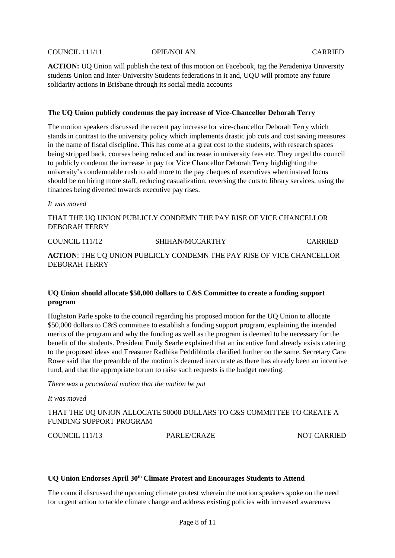#### COUNCIL 111/11 OPIE/NOLAN CARRIED

**ACTION:** UQ Union will publish the text of this motion on Facebook, tag the Peradeniya University students Union and Inter-University Students federations in it and, UQU will promote any future solidarity actions in Brisbane through its social media accounts

#### **The UQ Union publicly condemns the pay increase of Vice-Chancellor Deborah Terry**

The motion speakers discussed the recent pay increase for vice-chancellor Deborah Terry which stands in contrast to the university policy which implements drastic job cuts and cost saving measures in the name of fiscal discipline. This has come at a great cost to the students, with research spaces being stripped back, courses being reduced and increase in university fees etc. They urged the council to publicly condemn the increase in pay for Vice Chancellor Deborah Terry highlighting the university's condemnable rush to add more to the pay cheques of executives when instead focus should be on hiring more staff, reducing casualization, reversing the cuts to library services, using the finances being diverted towards executive pay rises.

#### *It was moved*

THAT THE UQ UNION PUBLICLY CONDEMN THE PAY RISE OF VICE CHANCELLOR DEBORAH TERRY

COUNCIL 111/12 SHIHAN/MCCARTHY CARRIED **ACTION**: THE UQ UNION PUBLICLY CONDEMN THE PAY RISE OF VICE CHANCELLOR DEBORAH TERRY

## **UQ Union should allocate \$50,000 dollars to C&S Committee to create a funding support program**

Hughston Parle spoke to the council regarding his proposed motion for the UQ Union to allocate \$50,000 dollars to C&S committee to establish a funding support program, explaining the intended merits of the program and why the funding as well as the program is deemed to be necessary for the benefit of the students. President Emily Searle explained that an incentive fund already exists catering to the proposed ideas and Treasurer Radhika Peddibhotla clarified further on the same. Secretary Cara Rowe said that the preamble of the motion is deemed inaccurate as there has already been an incentive fund, and that the appropriate forum to raise such requests is the budget meeting.

*There was a procedural motion that the motion be put*

*It was moved*

THAT THE UQ UNION ALLOCATE 50000 DOLLARS TO C&S COMMITTEE TO CREATE A FUNDING SUPPORT PROGRAM

COUNCIL 111/13 PARLE/CRAZE NOT CARRIED

#### **UQ Union Endorses April 30th Climate Protest and Encourages Students to Attend**

The council discussed the upcoming climate protest wherein the motion speakers spoke on the need for urgent action to tackle climate change and address existing policies with increased awareness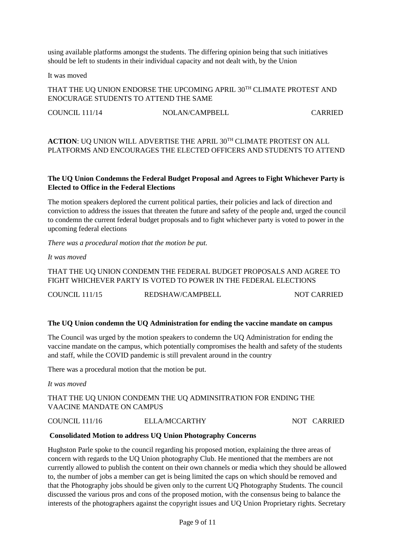using available platforms amongst the students. The differing opinion being that such initiatives should be left to students in their individual capacity and not dealt with, by the Union

It was moved

THAT THE UQ UNION ENDORSE THE UPCOMING APRIL 30TH CLIMATE PROTEST AND ENOCURAGE STUDENTS TO ATTEND THE SAME

COUNCIL 111/14 NOLAN/CAMPBELL CARRIED

# ACTION: UQ UNION WILL ADVERTISE THE APRIL 30<sup>TH</sup> CLIMATE PROTEST ON ALL PLATFORMS AND ENCOURAGES THE ELECTED OFFICERS AND STUDENTS TO ATTEND

# **The UQ Union Condemns the Federal Budget Proposal and Agrees to Fight Whichever Party is Elected to Office in the Federal Elections**

The motion speakers deplored the current political parties, their policies and lack of direction and conviction to address the issues that threaten the future and safety of the people and, urged the council to condemn the current federal budget proposals and to fight whichever party is voted to power in the upcoming federal elections

*There was a procedural motion that the motion be put.*

*It was moved*

THAT THE UQ UNION CONDEMN THE FEDERAL BUDGET PROPOSALS AND AGREE TO FIGHT WHICHEVER PARTY IS VOTED TO POWER IN THE FEDERAL ELECTIONS

COUNCIL 111/15 REDSHAW/CAMPBELL NOT CARRIED

## **The UQ Union condemn the UQ Administration for ending the vaccine mandate on campus**

The Council was urged by the motion speakers to condemn the UQ Administration for ending the vaccine mandate on the campus, which potentially compromises the health and safety of the students and staff, while the COVID pandemic is still prevalent around in the country

There was a procedural motion that the motion be put.

*It was moved*

# THAT THE UQ UNION CONDEMN THE UQ ADMINSITRATION FOR ENDING THE VAACINE MANDATE ON CAMPUS

COUNCIL 111/16 ELLA/MCCARTHY NOT CARRIED

## **Consolidated Motion to address UQ Union Photography Concerns**

Hughston Parle spoke to the council regarding his proposed motion, explaining the three areas of concern with regards to the UQ Union photography Club. He mentioned that the members are not currently allowed to publish the content on their own channels or media which they should be allowed to, the number of jobs a member can get is being limited the caps on which should be removed and that the Photography jobs should be given only to the current UQ Photography Students. The council discussed the various pros and cons of the proposed motion, with the consensus being to balance the interests of the photographers against the copyright issues and UQ Union Proprietary rights. Secretary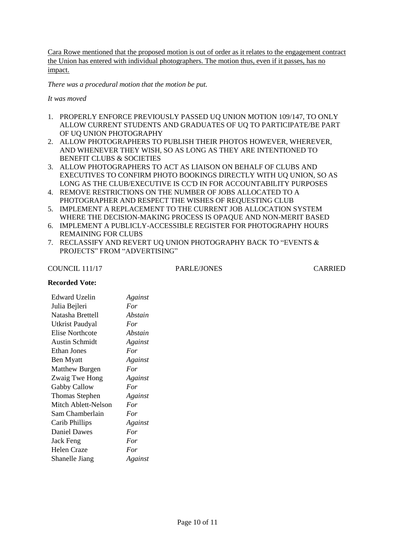Cara Rowe mentioned that the proposed motion is out of order as it relates to the engagement contract the Union has entered with individual photographers. The motion thus, even if it passes, has no impact.

*There was a procedural motion that the motion be put.*

*It was moved*

- 1. PROPERLY ENFORCE PREVIOUSLY PASSED UQ UNION MOTION 109/147, TO ONLY ALLOW CURRENT STUDENTS AND GRADUATES OF UQ TO PARTICIPATE/BE PART OF UQ UNION PHOTOGRAPHY
- 2. ALLOW PHOTOGRAPHERS TO PUBLISH THEIR PHOTOS HOWEVER, WHEREVER, AND WHENEVER THEY WISH, SO AS LONG AS THEY ARE INTENTIONED TO BENEFIT CLUBS & SOCIETIES
- 3. ALLOW PHOTOGRAPHERS TO ACT AS LIAISON ON BEHALF OF CLUBS AND EXECUTIVES TO CONFIRM PHOTO BOOKINGS DIRECTLY WITH UQ UNION, SO AS LONG AS THE CLUB/EXECUTIVE IS CC'D IN FOR ACCOUNTABILITY PURPOSES
- 4. REMOVE RESTRICTIONS ON THE NUMBER OF JOBS ALLOCATED TO A PHOTOGRAPHER AND RESPECT THE WISHES OF REQUESTING CLUB
- 5. IMPLEMENT A REPLACEMENT TO THE CURRENT JOB ALLOCATION SYSTEM WHERE THE DECISION-MAKING PROCESS IS OPAQUE AND NON-MERIT BASED
- 6. IMPLEMENT A PUBLICLY-ACCESSIBLE REGISTER FOR PHOTOGRAPHY HOURS REMAINING FOR CLUBS
- 7. RECLASSIFY AND REVERT UQ UNION PHOTOGRAPHY BACK TO "EVENTS & PROJECTS" FROM "ADVERTISING"

COUNCIL 111/17 PARLE/JONES CARRIED

# **Recorded Vote:**

| <b>Edward Uzelin</b>  | Against |
|-----------------------|---------|
| Julia Bejleri         | For     |
| Natasha Brettell      | Abstain |
| Utkrist Paudyal       | For     |
| Elise Northcote       | Abstain |
| <b>Austin Schmidt</b> | Against |
| Ethan Jones           | For     |
| Ben Myatt             | Against |
| <b>Matthew Burgen</b> | For     |
| Zwaig Twe Hong        | Against |
| Gabby Callow          | For     |
| <b>Thomas Stephen</b> | Against |
| Mitch Ablett-Nelson   | For     |
| Sam Chamberlain       | For     |
| Carib Phillips        | Against |
| <b>Daniel Dawes</b>   | For     |
| Jack Feng             | For     |
| Helen Craze           | For     |
| Shanelle Jiang        | Against |